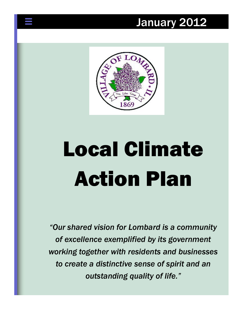



## Local Climate Action Plan

*"Our shared vision for Lombard is a community of excellence exemplified by its government working together with residents and businesses to create a distinctive sense of spirit and an outstanding quality of life."*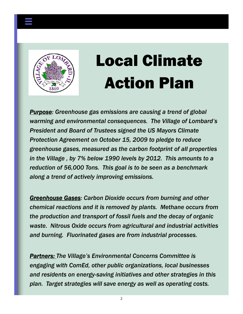

## Local Climate Action Plan

*Purpose: Greenhouse gas emissions are causing a trend of global warming and environmental consequences. The Village of Lombard's President and Board of Trustees signed the US Mayors Climate Protection Agreement on October 15, 2009 to pledge to reduce greenhouse gases, measured as the carbon footprint of all properties in the Village , by 7% below 1990 levels by 2012. This amounts to a reduction of 56,000 Tons. This goal is to be seen as a benchmark along a trend of actively improving emissions.* 

*Greenhouse Gases: Carbon Dioxide occurs from burning and other chemical reactions and it is removed by plants. Methane occurs from the production and transport of fossil fuels and the decay of organic waste. Nitrous Oxide occurs from agricultural and industrial activities and burning. Fluorinated gases are from industrial processes.* 

*Partners: The Village's Environmental Concerns Committee is engaging with ComEd, other public organizations, local businesses and residents on energy-saving initiatives and other strategies in this plan. Target strategies will save energy as well as operating costs.*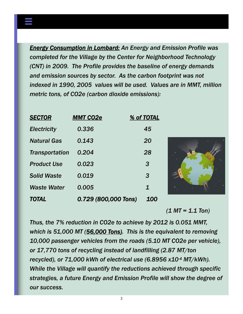*Energy Consumption in Lombard: An Energy and Emission Profile was completed for the Village by the Center for Neighborhood Technology (CNT) in 2009. The Profile provides the baseline of energy demands and emission sources by sector. As the carbon footprint was not indexed in 1990, 2005 values will be used. Values are in MMT, million metric tons, of CO2e (carbon dioxide emissions):* 

| <b>SECTOR</b>         | <b>MMT CO2e</b>      | % of TOTAL  |  |
|-----------------------|----------------------|-------------|--|
| <b>Electricity</b>    | 0.336                | 45          |  |
| <b>Natural Gas</b>    | 0.143                | 20          |  |
| <b>Transportation</b> | 0.204                | 28          |  |
| <b>Product Use</b>    | 0.023                | 3           |  |
| <b>Solid Waste</b>    | 0.019                | 3           |  |
| <b>Waste Water</b>    | 0.005                | $\mathbf 1$ |  |
| <b>TOTAL</b>          | 0.729 (800,000 Tons) | 100         |  |

 *(1 MT = 1.1 Ton)* 

*Thus, the 7% reduction in CO2e to achieve by 2012 is 0.051 MMT, which is 51,000 MT (56,000 Tons). This is the equivalent to removing 10,000 passenger vehicles from the roads (5.10 MT CO2e per vehicle), or 17,770 tons of recycling instead of landfilling (2.87 MT/ton recycled), or 71,000 kWh of electrical use (6.8956 x10-4 MT/kWh). While the Village will quantify the reductions achieved through specific strategies, a future Energy and Emission Profile will show the degree of our success.*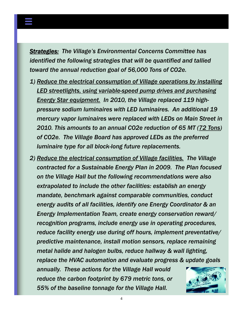

- *1) Reduce the electrical consumption of Village operations by installing LED streetlights, using variable-speed pump drives and purchasing Energy Star equipment. In 2010, the Village replaced 119 highpressure sodium luminaires with LED luminaires. An additional 19 mercury vapor luminaires were replaced with LEDs on Main Street in 2010. This amounts to an annual CO2e reduction of 65 MT (72 Tons) of CO2e. The Village Board has approved LEDs as the preferred luminaire type for all block-long future replacements.*
- *2) Reduce the electrical consumption of Village facilities. The Village contracted for a Sustainable Energy Plan in 2009. The Plan focused on the Village Hall but the following recommendations were also extrapolated to include the other facilities: establish an energy mandate, benchmark against comparable communities, conduct energy audits of all facilities, identify one Energy Coordinator & an Energy Implementation Team, create energy conservation reward/ recognition programs, include energy use in operating procedures, reduce facility energy use during off hours, implement preventative/ predictive maintenance, install motion sensors, replace remaining metal halide and halogen bulbs, reduce hallway & wall lighting, replace the HVAC automation and evaluate progress & update goals annually. These actions for the Village Hall would reduce the carbon footprint by 679 metric tons, or 55% of the baseline tonnage for the Village Hall.*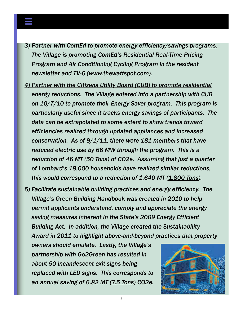

- *3) Partner with ComEd to promote energy efficiency/savings programs. The Village is promoting ComEd's Residential Real-Time Pricing Program and Air Conditioning Cycling Program in the resident newsletter and TV-6 (www.thewattspot.com).*
- *4) Partner with the Citizens Utility Board (CUB) to promote residential energy reductions. The Village entered into a partnership with CUB on 10/7/10 to promote their Energy Saver program. This program is particularly useful since it tracks energy savings of participants. The data can be extrapolated to some extent to show trends toward efficiencies realized through updated appliances and increased conservation. As of 9/1/11, there were 181 members that have reduced electric use by 66 MW through the program. This is a reduction of 46 MT (50 Tons) of CO2e. Assuming that just a quarter of Lombard's 18,000 households have realized similar reductions, this would correspond to a reduction of 1,640 MT (1,800 Tons).*

*5) Facilitate sustainable building practices and energy efficiency. The Village's Green Building Handbook was created in 2010 to help permit applicants understand, comply and appreciate the energy saving measures inherent in the State's 2009 Energy Efficient Building Act. In addition, the Village created the Sustainability Award in 2011 to highlight above-and-beyond practices that property* 

*owners should emulate. Lastly, the Village's partnership with Go2Green has resulted in about 50 incandescent exit signs being replaced with LED signs. This corresponds to an annual saving of 6.82 MT (7.5 Tons) CO2e.* 

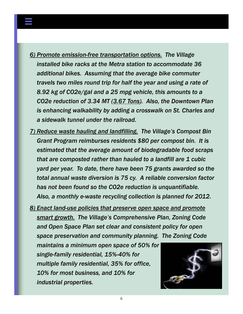- *6) Promote emission-free transportation options. The Village installed bike racks at the Metra station to accommodate 36 additional bikes. Assuming that the average bike commuter travels two miles round trip for half the year and using a rate of 8.92 kg of CO2e/gal and a 25 mpg vehicle, this amounts to a CO2e reduction of 3.34 MT (3.67 Tons). Also, the Downtown Plan is enhancing walkability by adding a crosswalk on St. Charles and a sidewalk tunnel under the railroad.*
- *7) Reduce waste hauling and landfilling. The Village's Compost Bin Grant Program reimburses residents \$80 per compost bin. It is estimated that the average amount of biodegradable food scraps that are composted rather than hauled to a landfill are 1 cubic yard per year. To date, there have been 75 grants awarded so the total annual waste diversion is 75 cy. A reliable conversion factor has not been found so the CO2e reduction is unquantifiable. Also, a monthly e-waste recycling collection is planned for 2012.*

*8) Enact land-use policies that preserve open space and promote smart growth. The Village's Comprehensive Plan, Zoning Code and Open Space Plan set clear and consistent policy for open space preservation and community planning. The Zoning Code* 

*maintains a minimum open space of 50% for single-family residential, 15%-40% for multiple family residential, 35% for office, 10% for most business, and 10% for industrial properties.* 

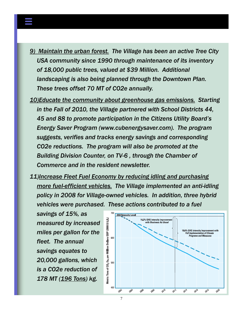- - *9) Maintain the urban forest. The Village has been an active Tree City USA community since 1990 through maintenance of its inventory of 18,000 public trees, valued at \$39 Million. Additional landscaping is also being planned through the Downtown Plan. These trees offset 70 MT of CO2e annually.*
	- *10)Educate the community about greenhouse gas emissions. Starting in the Fall of 2010, the Village partnered with School Districts 44, 45 and 88 to promote participation in the Citizens Utility Board's Energy Saver Program (www.cubenergysaver.com). The program suggests, verifies and tracks energy savings and corresponding CO2e reductions. The program will also be promoted at the Building Division Counter, on TV-6 , through the Chamber of Commerce and in the resident newsletter.*
	- *11)Increase Fleet Fuel Economy by reducing idling and purchasing more fuel-efficient vehicles. The Village implemented an anti-idling policy in 2008 for Village-owned vehicles. In addition, three hybrid vehicles were purchased. These actions contributed to a fuel*

*savings of 15%, as measured by increased miles per gallon for the fleet. The annual savings equates to 20,000 gallons, which is a CO2e reduction of 178 MT (196 Tons) kg.* 

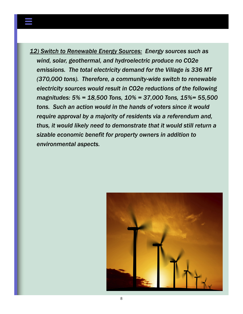

*12) Switch to Renewable Energy Sources: Energy sources such as wind, solar, geothermal, and hydroelectric produce no CO2e emissions. The total electricity demand for the Village is 336 MT (370,000 tons). Therefore, a community-wide switch to renewable electricity sources would result in CO2e reductions of the following magnitudes: 5% = 18,500 Tons, 10% = 37,000 Tons, 15%= 55,500 tons. Such an action would in the hands of voters since it would require approval by a majority of residents via a referendum and, thus, it would likely need to demonstrate that it would still return a sizable economic benefit for property owners in addition to environmental aspects.* 

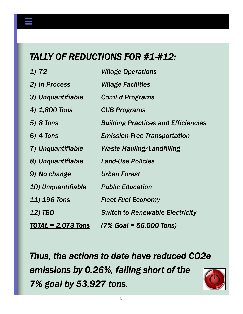## *TALLY OF REDUCTIONS FOR #1-#12:*

| 1) 72                           | <b>Village Operations</b>                  |
|---------------------------------|--------------------------------------------|
| 2) In Process                   | <b>Village Facilities</b>                  |
| 3) Unquantifiable               | <b>ComEd Programs</b>                      |
| 4) 1,800 Tons                   | <b>CUB Programs</b>                        |
| <b>5) 8 Tons</b>                | <b>Building Practices and Efficiencies</b> |
| 6) 4 Tons                       | <b>Emission-Free Transportation</b>        |
| 7) Unquantifiable               | Waste Hauling/Landfilling                  |
| 8) Unquantifiable               | <b>Land-Use Policies</b>                   |
| 9) No change                    | <b>Urban Forest</b>                        |
| 10) Unquantifiable              | <b>Public Education</b>                    |
| 11) 196 Tons                    | <b>Fleet Fuel Economy</b>                  |
| <b>12) TBD</b>                  | <b>Switch to Renewable Electricity</b>     |
| $\overline{TOTAL} = 2,073$ Tons | $(7\%$ Goal = 56,000 Tons)                 |

*Thus, the actions to date have reduced CO2e emissions by 0.26%, falling short of the 7% goal by 53,927 tons.* 

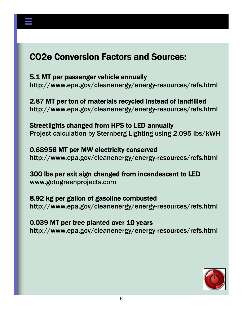## CO2e Conversion Factors and Sources:

5.1 MT per passenger vehicle annually http://www.epa.gov/cleanenergy/energy-resources/refs.html

2.87 MT per ton of materials recycled instead of landfilled http://www.epa.gov/cleanenergy/energy-resources/refs.html

Streetlights changed from HPS to LED annually Project calculation by Sternberg Lighting using 2.095 lbs/kWH

0.68956 MT per MW electricity conserved http://www.epa.gov/cleanenergy/energy-resources/refs.html

300 lbs per exit sign changed from incandescent to LED www.gotogreenprojects.com

8.92 kg per gallon of gasoline combusted http://www.epa.gov/cleanenergy/energy-resources/refs.html

0.039 MT per tree planted over 10 years http://www.epa.gov/cleanenergy/energy-resources/refs.html